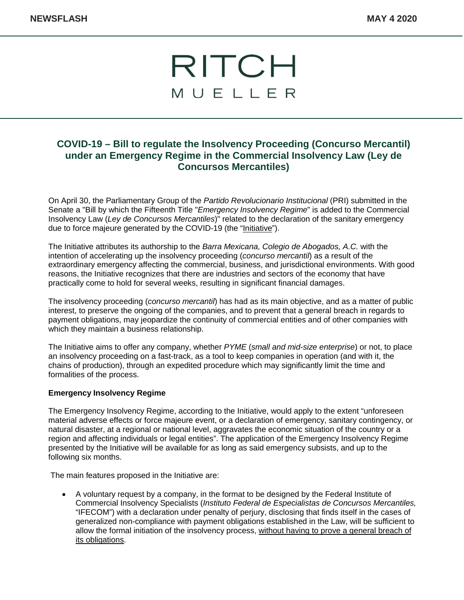

## **COVID-19 – Bill to regulate the Insolvency Proceeding (Concurso Mercantil) under an Emergency Regime in the Commercial Insolvency Law (Ley de Concursos Mercantiles)**

On April 30, the Parliamentary Group of the *Partido Revolucionario Institucional* (PRI) submitted in the Senate a "Bill by which the Fifteenth Title "*Emergency Insolvency Regime*" is added to the Commercial Insolvency Law (*Ley de Concursos Mercantiles*)" related to the declaration of the sanitary emergency due to force majeure generated by the COVID-19 (the "Initiative").

The Initiative attributes its authorship to the *Barra Mexicana, Colegio de Abogados, A.C.* with the intention of accelerating up the insolvency proceeding (*concurso mercantil*) as a result of the extraordinary emergency affecting the commercial, business, and jurisdictional environments. With good reasons, the Initiative recognizes that there are industries and sectors of the economy that have practically come to hold for several weeks, resulting in significant financial damages.

The insolvency proceeding (*concurso mercantil*) has had as its main objective, and as a matter of public interest, to preserve the ongoing of the companies, and to prevent that a general breach in regards to payment obligations, may jeopardize the continuity of commercial entities and of other companies with which they maintain a business relationship.

The Initiative aims to offer any company, whether *PYME* (*small and mid-size enterprise*) or not, to place an insolvency proceeding on a fast-track, as a tool to keep companies in operation (and with it, the chains of production), through an expedited procedure which may significantly limit the time and formalities of the process.

## **Emergency Insolvency Regime**

The Emergency Insolvency Regime, according to the Initiative, would apply to the extent "unforeseen material adverse effects or force majeure event, or a declaration of emergency, sanitary contingency, or natural disaster, at a regional or national level, aggravates the economic situation of the country or a region and affecting individuals or legal entities". The application of the Emergency Insolvency Regime presented by the Initiative will be available for as long as said emergency subsists, and up to the following six months.

The main features proposed in the Initiative are:

• A voluntary request by a company, in the format to be designed by the Federal Institute of Commercial Insolvency Specialists (*Instituto Federal de Especialistas de Concursos Mercantiles,* "IFECOM") with a declaration under penalty of perjury, disclosing that finds itself in the cases of generalized non-compliance with payment obligations established in the Law, will be sufficient to allow the formal initiation of the insolvency process, without having to prove a general breach of its obligations.